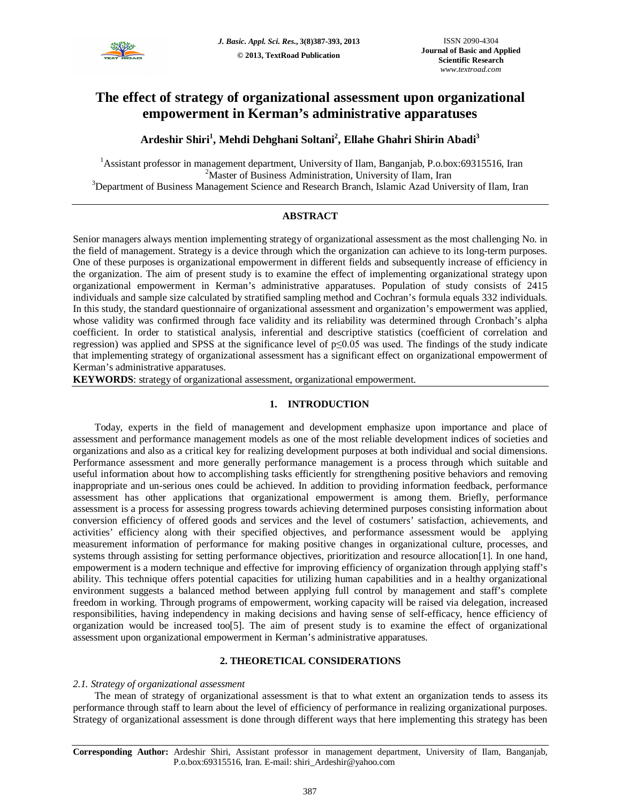

# **The effect of strategy of organizational assessment upon organizational empowerment in Kerman's administrative apparatuses**

## **Ardeshir Shiri<sup>1</sup> , Mehdi Dehghani Soltani<sup>2</sup> , Ellahe Ghahri Shirin Abadi<sup>3</sup>**

<sup>1</sup>Assistant professor in management department, University of Ilam, Banganjab, P.o.box:69315516, Iran <sup>2</sup>Master of Business Administration, University of Ilam, Iran <sup>3</sup>Department of Business Management Science and Research Branch, Islamic Azad University of Ilam, Iran

## **ABSTRACT**

Senior managers always mention implementing strategy of organizational assessment as the most challenging No. in the field of management. Strategy is a device through which the organization can achieve to its long-term purposes. One of these purposes is organizational empowerment in different fields and subsequently increase of efficiency in the organization. The aim of present study is to examine the effect of implementing organizational strategy upon organizational empowerment in Kerman's administrative apparatuses. Population of study consists of 2415 individuals and sample size calculated by stratified sampling method and Cochran's formula equals 332 individuals. In this study, the standard questionnaire of organizational assessment and organization's empowerment was applied, whose validity was confirmed through face validity and its reliability was determined through Cronbach's alpha coefficient. In order to statistical analysis, inferential and descriptive statistics (coefficient of correlation and regression) was applied and SPSS at the significance level of p≤0.05 was used. The findings of the study indicate that implementing strategy of organizational assessment has a significant effect on organizational empowerment of Kerman's administrative apparatuses.

**KEYWORDS**: strategy of organizational assessment, organizational empowerment.

## **1. INTRODUCTION**

Today, experts in the field of management and development emphasize upon importance and place of assessment and performance management models as one of the most reliable development indices of societies and organizations and also as a critical key for realizing development purposes at both individual and social dimensions. Performance assessment and more generally performance management is a process through which suitable and useful information about how to accomplishing tasks efficiently for strengthening positive behaviors and removing inappropriate and un-serious ones could be achieved. In addition to providing information feedback, performance assessment has other applications that organizational empowerment is among them. Briefly, performance assessment is a process for assessing progress towards achieving determined purposes consisting information about conversion efficiency of offered goods and services and the level of costumers' satisfaction, achievements, and activities' efficiency along with their specified objectives, and performance assessment would be applying measurement information of performance for making positive changes in organizational culture, processes, and systems through assisting for setting performance objectives, prioritization and resource allocation[1]. In one hand, empowerment is a modern technique and effective for improving efficiency of organization through applying staff's ability. This technique offers potential capacities for utilizing human capabilities and in a healthy organizational environment suggests a balanced method between applying full control by management and staff's complete freedom in working. Through programs of empowerment, working capacity will be raised via delegation, increased responsibilities, having independency in making decisions and having sense of self-efficacy, hence efficiency of organization would be increased too[5]. The aim of present study is to examine the effect of organizational assessment upon organizational empowerment in Kerman's administrative apparatuses.

## **2. THEORETICAL CONSIDERATIONS**

## *2.1. Strategy of organizational assessment*

The mean of strategy of organizational assessment is that to what extent an organization tends to assess its performance through staff to learn about the level of efficiency of performance in realizing organizational purposes. Strategy of organizational assessment is done through different ways that here implementing this strategy has been

**Corresponding Author:** Ardeshir Shiri, Assistant professor in management department, University of Ilam, Banganjab, P.o.box:69315516, Iran. E-mail: shiri\_Ardeshir@yahoo.com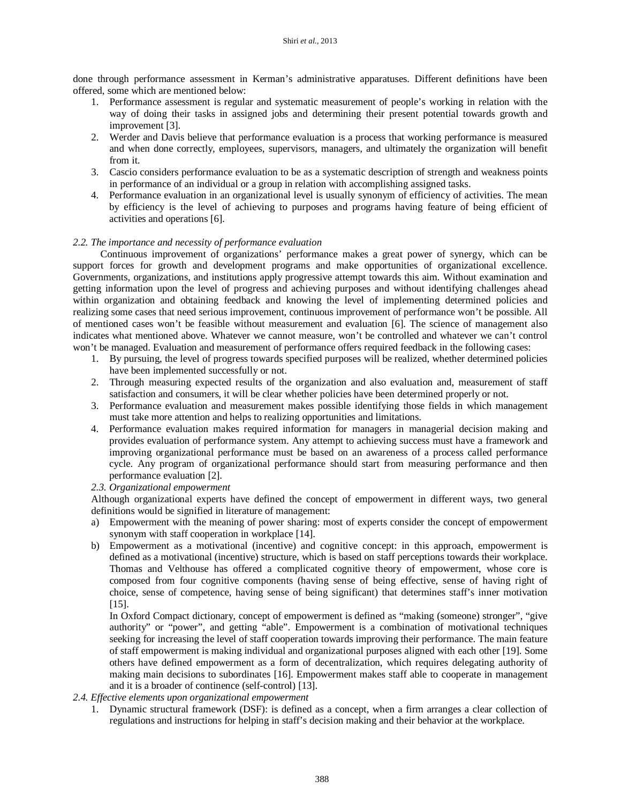done through performance assessment in Kerman's administrative apparatuses. Different definitions have been offered, some which are mentioned below:

- 1. Performance assessment is regular and systematic measurement of people's working in relation with the way of doing their tasks in assigned jobs and determining their present potential towards growth and improvement [3].
- 2. Werder and Davis believe that performance evaluation is a process that working performance is measured and when done correctly, employees, supervisors, managers, and ultimately the organization will benefit from it.
- 3. Cascio considers performance evaluation to be as a systematic description of strength and weakness points in performance of an individual or a group in relation with accomplishing assigned tasks.
- 4. Performance evaluation in an organizational level is usually synonym of efficiency of activities. The mean by efficiency is the level of achieving to purposes and programs having feature of being efficient of activities and operations [6].

## *2.2. The importance and necessity of performance evaluation*

Continuous improvement of organizations' performance makes a great power of synergy, which can be support forces for growth and development programs and make opportunities of organizational excellence. Governments, organizations, and institutions apply progressive attempt towards this aim. Without examination and getting information upon the level of progress and achieving purposes and without identifying challenges ahead within organization and obtaining feedback and knowing the level of implementing determined policies and realizing some cases that need serious improvement, continuous improvement of performance won't be possible. All of mentioned cases won't be feasible without measurement and evaluation [6]. The science of management also indicates what mentioned above. Whatever we cannot measure, won't be controlled and whatever we can't control won't be managed. Evaluation and measurement of performance offers required feedback in the following cases:

- 1. By pursuing, the level of progress towards specified purposes will be realized, whether determined policies have been implemented successfully or not.
- 2. Through measuring expected results of the organization and also evaluation and, measurement of staff satisfaction and consumers, it will be clear whether policies have been determined properly or not.
- 3. Performance evaluation and measurement makes possible identifying those fields in which management must take more attention and helps to realizing opportunities and limitations.
- 4. Performance evaluation makes required information for managers in managerial decision making and provides evaluation of performance system. Any attempt to achieving success must have a framework and improving organizational performance must be based on an awareness of a process called performance cycle. Any program of organizational performance should start from measuring performance and then performance evaluation [2].

## *2.3. Organizational empowerment*

Although organizational experts have defined the concept of empowerment in different ways, two general definitions would be signified in literature of management:

- a) Empowerment with the meaning of power sharing: most of experts consider the concept of empowerment synonym with staff cooperation in workplace [14].
- b) Empowerment as a motivational (incentive) and cognitive concept: in this approach, empowerment is defined as a motivational (incentive) structure, which is based on staff perceptions towards their workplace. Thomas and Velthouse has offered a complicated cognitive theory of empowerment, whose core is composed from four cognitive components (having sense of being effective, sense of having right of choice, sense of competence, having sense of being significant) that determines staff's inner motivation [15].

In Oxford Compact dictionary, concept of empowerment is defined as "making (someone) stronger", "give authority" or "power", and getting "able". Empowerment is a combination of motivational techniques seeking for increasing the level of staff cooperation towards improving their performance. The main feature of staff empowerment is making individual and organizational purposes aligned with each other [19]. Some others have defined empowerment as a form of decentralization, which requires delegating authority of making main decisions to subordinates [16]. Empowerment makes staff able to cooperate in management and it is a broader of continence (self-control) [13].

## *2.4. Effective elements upon organizational empowerment*

1. Dynamic structural framework (DSF): is defined as a concept, when a firm arranges a clear collection of regulations and instructions for helping in staff's decision making and their behavior at the workplace.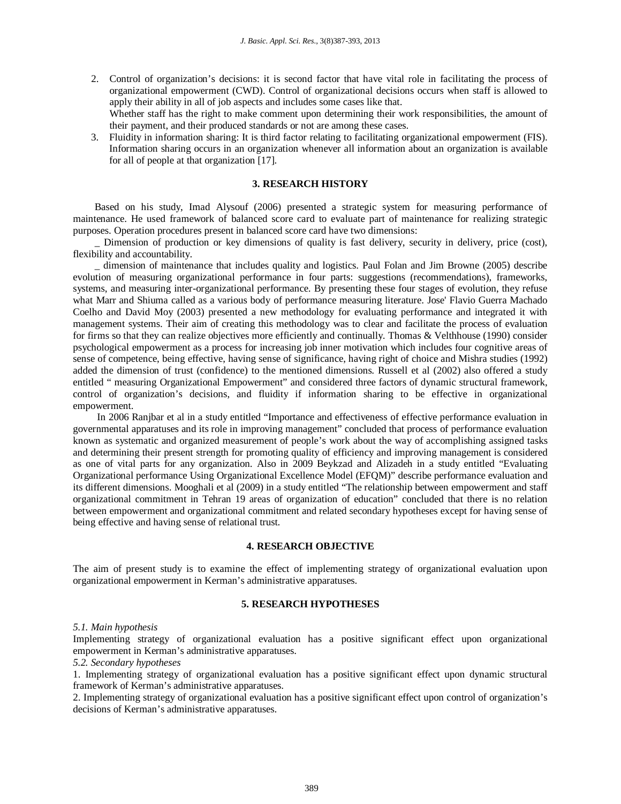- 2. Control of organization's decisions: it is second factor that have vital role in facilitating the process of organizational empowerment (CWD). Control of organizational decisions occurs when staff is allowed to apply their ability in all of job aspects and includes some cases like that. Whether staff has the right to make comment upon determining their work responsibilities, the amount of their payment, and their produced standards or not are among these cases.
- 3. Fluidity in information sharing: It is third factor relating to facilitating organizational empowerment (FIS). Information sharing occurs in an organization whenever all information about an organization is available for all of people at that organization [17].

## **3. RESEARCH HISTORY**

Based on his study, Imad Alysouf (2006) presented a strategic system for measuring performance of maintenance. He used framework of balanced score card to evaluate part of maintenance for realizing strategic purposes. Operation procedures present in balanced score card have two dimensions:

Dimension of production or key dimensions of quality is fast delivery, security in delivery, price (cost), flexibility and accountability.

\_ dimension of maintenance that includes quality and logistics. Paul Folan and Jim Browne (2005) describe evolution of measuring organizational performance in four parts: suggestions (recommendations), frameworks, systems, and measuring inter-organizational performance. By presenting these four stages of evolution, they refuse what Marr and Shiuma called as a various body of performance measuring literature. Jose' Flavio Guerra Machado Coelho and David Moy (2003) presented a new methodology for evaluating performance and integrated it with management systems. Their aim of creating this methodology was to clear and facilitate the process of evaluation for firms so that they can realize objectives more efficiently and continually. Thomas & Velthhouse (1990) consider psychological empowerment as a process for increasing job inner motivation which includes four cognitive areas of sense of competence, being effective, having sense of significance, having right of choice and Mishra studies (1992) added the dimension of trust (confidence) to the mentioned dimensions. Russell et al (2002) also offered a study entitled " measuring Organizational Empowerment" and considered three factors of dynamic structural framework, control of organization's decisions, and fluidity if information sharing to be effective in organizational empowerment.

In 2006 Ranjbar et al in a study entitled "Importance and effectiveness of effective performance evaluation in governmental apparatuses and its role in improving management" concluded that process of performance evaluation known as systematic and organized measurement of people's work about the way of accomplishing assigned tasks and determining their present strength for promoting quality of efficiency and improving management is considered as one of vital parts for any organization. Also in 2009 Beykzad and Alizadeh in a study entitled "Evaluating Organizational performance Using Organizational Excellence Model (EFQM)" describe performance evaluation and its different dimensions. Mooghali et al (2009) in a study entitled "The relationship between empowerment and staff organizational commitment in Tehran 19 areas of organization of education" concluded that there is no relation between empowerment and organizational commitment and related secondary hypotheses except for having sense of being effective and having sense of relational trust.

#### **4. RESEARCH OBJECTIVE**

The aim of present study is to examine the effect of implementing strategy of organizational evaluation upon organizational empowerment in Kerman's administrative apparatuses.

## **5. RESEARCH HYPOTHESES**

## *5.1. Main hypothesis*

Implementing strategy of organizational evaluation has a positive significant effect upon organizational empowerment in Kerman's administrative apparatuses.

#### *5.2. Secondary hypotheses*

1. Implementing strategy of organizational evaluation has a positive significant effect upon dynamic structural framework of Kerman's administrative apparatuses.

2. Implementing strategy of organizational evaluation has a positive significant effect upon control of organization's decisions of Kerman's administrative apparatuses.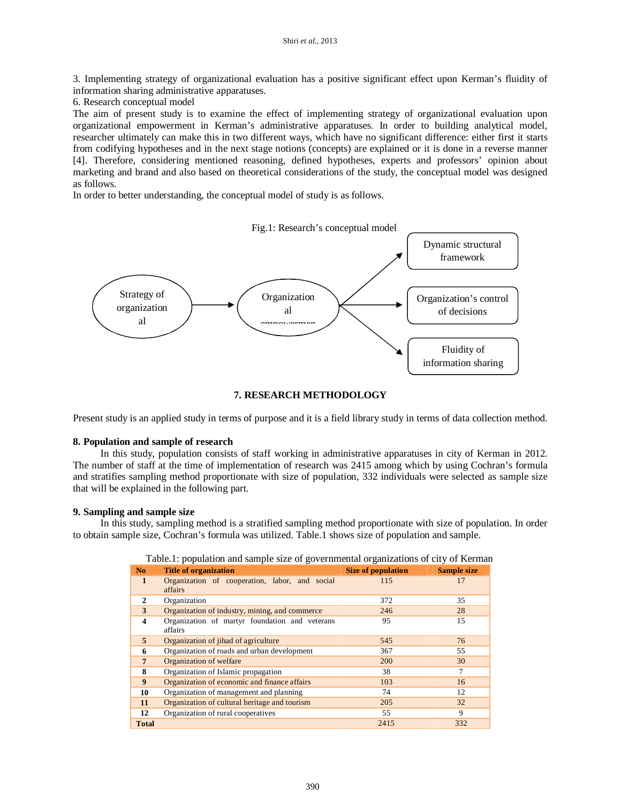3. Implementing strategy of organizational evaluation has a positive significant effect upon Kerman's fluidity of information sharing administrative apparatuses.

6. Research conceptual model

The aim of present study is to examine the effect of implementing strategy of organizational evaluation upon organizational empowerment in Kerman's administrative apparatuses. In order to building analytical model, researcher ultimately can make this in two different ways, which have no significant difference: either first it starts from codifying hypotheses and in the next stage notions (concepts) are explained or it is done in a reverse manner [4]. Therefore, considering mentioned reasoning, defined hypotheses, experts and professors' opinion about marketing and brand and also based on theoretical considerations of the study, the conceptual model was designed as follows.

In order to better understanding, the conceptual model of study is as follows.



## **7. RESEARCH METHODOLOGY**

Present study is an applied study in terms of purpose and it is a field library study in terms of data collection method.

#### **8. Population and sample of research**

In this study, population consists of staff working in administrative apparatuses in city of Kerman in 2012. The number of staff at the time of implementation of research was 2415 among which by using Cochran's formula and stratifies sampling method proportionate with size of population, 332 individuals were selected as sample size that will be explained in the following part.

#### **9. Sampling and sample size**

In this study, sampling method is a stratified sampling method proportionate with size of population. In order to obtain sample size, Cochran's formula was utilized. Table.1 shows size of population and sample.

| N <sub>0</sub>          | <b>Title of organization</b>                              | Size of population | <b>Sample size</b> |
|-------------------------|-----------------------------------------------------------|--------------------|--------------------|
| $\mathbf{1}$            | Organization of cooperation, labor, and social<br>affairs | 115                | 17                 |
| 2                       | Organization                                              | 372                | 35                 |
| 3                       | Organization of industry, mining, and commerce            | 246                | 28                 |
| $\overline{\mathbf{4}}$ | Organization of martyr foundation and veterans<br>affairs | 95                 | 15                 |
| 5                       | Organization of jihad of agriculture                      | 545                | 76                 |
| 6                       | Organization of roads and urban development               | 367                | 55                 |
| $\overline{7}$          | Organization of welfare                                   | 200                | 30                 |
| 8                       | Organization of Islamic propagation                       | 38                 | 7                  |
| 9                       | Organization of economic and finance affairs              | 103                | 16                 |
| 10                      | Organization of management and planning                   | 74                 | 12                 |
| 11                      | Organization of cultural heritage and tourism             | 205                | 32                 |
| 12                      | Organization of rural cooperatives                        | 55                 | 9                  |
| <b>Total</b>            |                                                           | 2415               | 332                |

|  | Table.1: population and sample size of governmental organizations of city of Kerman |  |  |
|--|-------------------------------------------------------------------------------------|--|--|
|  |                                                                                     |  |  |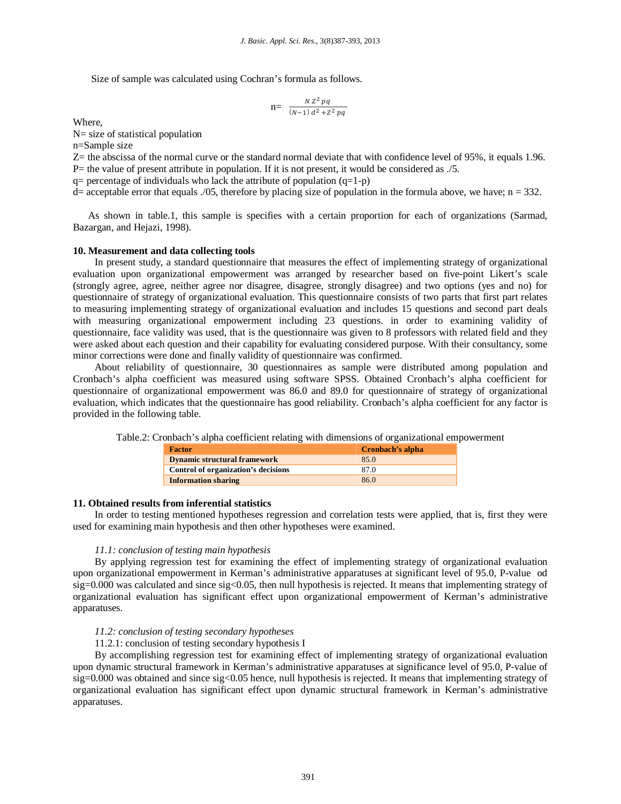Size of sample was calculated using Cochran's formula as follows.

$$
n = \frac{N Z^2 pq}{(N-1) d^2 + Z^2 pq}
$$

Where,

N= size of statistical population

n=Sample size

Z= the abscissa of the normal curve or the standard normal deviate that with confidence level of 95%, it equals 1.96.

P= the value of present attribute in population. If it is not present, it would be considered as ./5.

 $q=$  percentage of individuals who lack the attribute of population  $(q=1-p)$ 

 $d=$  acceptable error that equals ./05, therefore by placing size of population in the formula above, we have; n = 332.

 As shown in table.1, this sample is specifies with a certain proportion for each of organizations (Sarmad, Bazargan, and Hejazi, 1998).

## **10. Measurement and data collecting tools**

In present study, a standard questionnaire that measures the effect of implementing strategy of organizational evaluation upon organizational empowerment was arranged by researcher based on five-point Likert's scale (strongly agree, agree, neither agree nor disagree, disagree, strongly disagree) and two options (yes and no) for questionnaire of strategy of organizational evaluation. This questionnaire consists of two parts that first part relates to measuring implementing strategy of organizational evaluation and includes 15 questions and second part deals with measuring organizational empowerment including 23 questions. in order to examining validity of questionnaire, face validity was used, that is the questionnaire was given to 8 professors with related field and they were asked about each question and their capability for evaluating considered purpose. With their consultancy, some minor corrections were done and finally validity of questionnaire was confirmed.

About reliability of questionnaire, 30 questionnaires as sample were distributed among population and Cronbach's alpha coefficient was measured using software SPSS. Obtained Cronbach's alpha coefficient for questionnaire of organizational empowerment was 86.0 and 89.0 for questionnaire of strategy of organizational evaluation, which indicates that the questionnaire has good reliability. Cronbach's alpha coefficient for any factor is provided in the following table.

Table.2: Cronbach's alpha coefficient relating with dimensions of organizational empowerment

| <b>Factor</b>                       | Cronbach's alpha |  |  |
|-------------------------------------|------------------|--|--|
| <b>Dynamic structural framework</b> | 85.0             |  |  |
| Control of organization's decisions | 87.0             |  |  |
| <b>Information sharing</b>          | 86.0             |  |  |

#### **11. Obtained results from inferential statistics**

In order to testing mentioned hypotheses regression and correlation tests were applied, that is, first they were used for examining main hypothesis and then other hypotheses were examined.

#### *11.1: conclusion of testing main hypothesis*

By applying regression test for examining the effect of implementing strategy of organizational evaluation upon organizational empowerment in Kerman's administrative apparatuses at significant level of 95.0, P-value od sig=0.000 was calculated and since sig<0.05, then null hypothesis is rejected. It means that implementing strategy of organizational evaluation has significant effect upon organizational empowerment of Kerman's administrative apparatuses.

#### *11.2: conclusion of testing secondary hypotheses*

## 11.2.1: conclusion of testing secondary hypothesis I

By accomplishing regression test for examining effect of implementing strategy of organizational evaluation upon dynamic structural framework in Kerman's administrative apparatuses at significance level of 95.0, P-value of  $sig=0.000$  was obtained and since  $sig<0.05$  hence, null hypothesis is rejected. It means that implementing strategy of organizational evaluation has significant effect upon dynamic structural framework in Kerman's administrative apparatuses.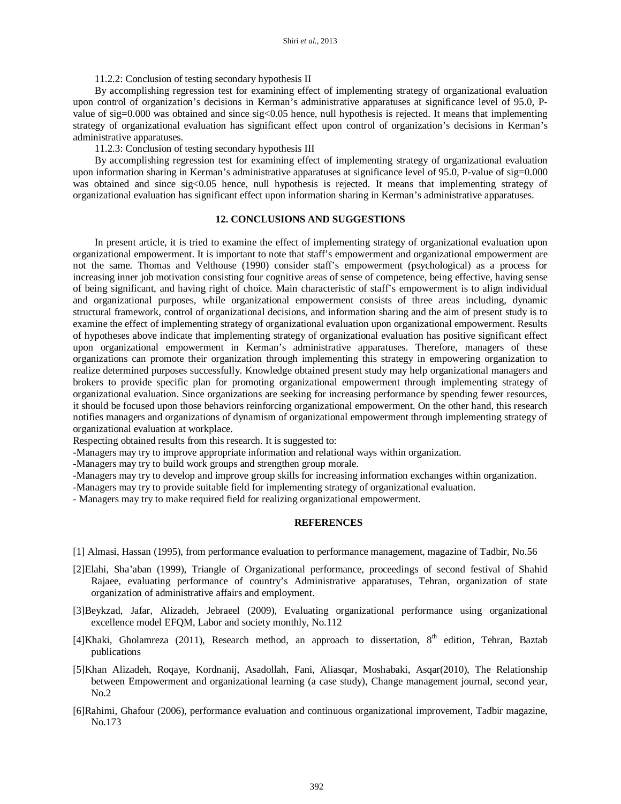11.2.2: Conclusion of testing secondary hypothesis II

By accomplishing regression test for examining effect of implementing strategy of organizational evaluation upon control of organization's decisions in Kerman's administrative apparatuses at significance level of 95.0, Pvalue of sig=0.000 was obtained and since sig<0.05 hence, null hypothesis is rejected. It means that implementing strategy of organizational evaluation has significant effect upon control of organization's decisions in Kerman's administrative apparatuses.

11.2.3: Conclusion of testing secondary hypothesis III

By accomplishing regression test for examining effect of implementing strategy of organizational evaluation upon information sharing in Kerman's administrative apparatuses at significance level of 95.0, P-value of sig=0.000 was obtained and since sig<0.05 hence, null hypothesis is rejected. It means that implementing strategy of organizational evaluation has significant effect upon information sharing in Kerman's administrative apparatuses.

## **12. CONCLUSIONS AND SUGGESTIONS**

In present article, it is tried to examine the effect of implementing strategy of organizational evaluation upon organizational empowerment. It is important to note that staff's empowerment and organizational empowerment are not the same. Thomas and Velthouse (1990) consider staff's empowerment (psychological) as a process for increasing inner job motivation consisting four cognitive areas of sense of competence, being effective, having sense of being significant, and having right of choice. Main characteristic of staff's empowerment is to align individual and organizational purposes, while organizational empowerment consists of three areas including, dynamic structural framework, control of organizational decisions, and information sharing and the aim of present study is to examine the effect of implementing strategy of organizational evaluation upon organizational empowerment. Results of hypotheses above indicate that implementing strategy of organizational evaluation has positive significant effect upon organizational empowerment in Kerman's administrative apparatuses. Therefore, managers of these organizations can promote their organization through implementing this strategy in empowering organization to realize determined purposes successfully. Knowledge obtained present study may help organizational managers and brokers to provide specific plan for promoting organizational empowerment through implementing strategy of organizational evaluation. Since organizations are seeking for increasing performance by spending fewer resources, it should be focused upon those behaviors reinforcing organizational empowerment. On the other hand, this research notifies managers and organizations of dynamism of organizational empowerment through implementing strategy of organizational evaluation at workplace.

Respecting obtained results from this research. It is suggested to:

-Managers may try to improve appropriate information and relational ways within organization.

-Managers may try to build work groups and strengthen group morale.

-Managers may try to develop and improve group skills for increasing information exchanges within organization.

-Managers may try to provide suitable field for implementing strategy of organizational evaluation.

- Managers may try to make required field for realizing organizational empowerment.

#### **REFERENCES**

- [1] Almasi, Hassan (1995), from performance evaluation to performance management, magazine of Tadbir, No.56
- [2]Elahi, Sha'aban (1999), Triangle of Organizational performance, proceedings of second festival of Shahid Rajaee, evaluating performance of country's Administrative apparatuses, Tehran, organization of state organization of administrative affairs and employment.
- [3]Beykzad, Jafar, Alizadeh, Jebraeel (2009), Evaluating organizational performance using organizational excellence model EFQM, Labor and society monthly, No.112
- [4]Khaki, Gholamreza (2011), Research method, an approach to dissertation,  $8<sup>th</sup>$  edition, Tehran, Baztab publications
- [5]Khan Alizadeh, Roqaye, Kordnanij, Asadollah, Fani, Aliasqar, Moshabaki, Asqar(2010), The Relationship between Empowerment and organizational learning (a case study), Change management journal, second year, No.2
- [6]Rahimi, Ghafour (2006), performance evaluation and continuous organizational improvement, Tadbir magazine, No.173